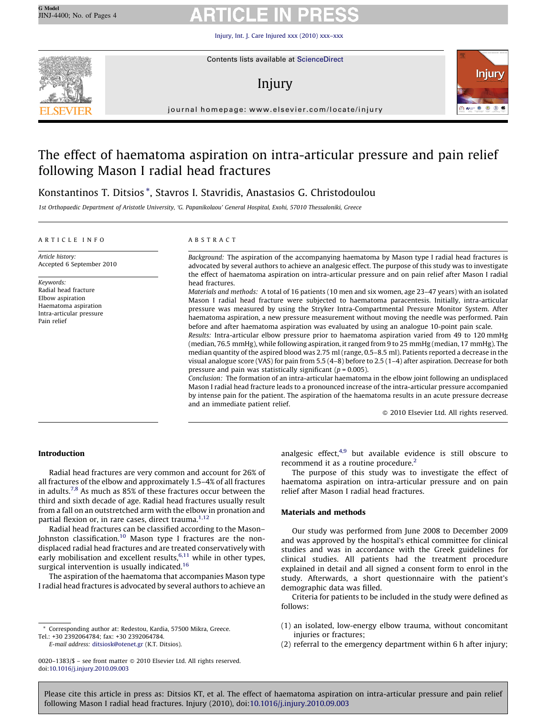[Injury, Int. J. Care Injured xxx \(2010\) xxx–xxx](http://dx.doi.org/10.1016/j.injury.2010.09.003)



Contents lists available at [ScienceDirect](http://www.sciencedirect.com/science/journal/00201383)

# Injury



journal homepage: www.elsevier.com/locate/injury

# The effect of haematoma aspiration on intra-articular pressure and pain relief following Mason I radial head fractures

# Konstantinos T. Ditsios \*, Stavros I. Stavridis, Anastasios G. Christodoulou

1st Orthopaedic Department of Aristotle University, 'G. Papanikolaou' General Hospital, Exohi, 57010 Thessaloniki, Greece

### ARTICLE INFO

Article history: Accepted 6 September 2010

Keywords: Radial head fracture Elbow aspiration Haematoma aspiration Intra-articular pressure Pain relief

### ABSTRACT

Background: The aspiration of the accompanying haematoma by Mason type I radial head fractures is advocated by several authors to achieve an analgesic effect. The purpose of this study was to investigate the effect of haematoma aspiration on intra-articular pressure and on pain relief after Mason I radial head fractures.

Materials and methods: A total of 16 patients (10 men and six women, age 23–47 years) with an isolated Mason I radial head fracture were subjected to haematoma paracentesis. Initially, intra-articular pressure was measured by using the Stryker Intra-Compartmental Pressure Monitor System. After haematoma aspiration, a new pressure measurement without moving the needle was performed. Pain before and after haematoma aspiration was evaluated by using an analogue 10-point pain scale.

Results: Intra-articular elbow pressure prior to haematoma aspiration varied from 49 to 120 mmHg (median, 76.5 mmHg), while following aspiration, it ranged from 9 to 25 mmHg (median, 17 mmHg). The median quantity of the aspired blood was 2.75 ml (range, 0.5–8.5 ml). Patients reported a decrease in the visual analogue score (VAS) for pain from 5.5 (4–8) before to 2.5 (1–4) after aspiration. Decrease for both pressure and pain was statistically significant ( $p = 0.005$ ).

Conclusion: The formation of an intra-articular haematoma in the elbow joint following an undisplaced Mason I radial head fracture leads to a pronounced increase of the intra-articular pressure accompanied by intense pain for the patient. The aspiration of the haematoma results in an acute pressure decrease and an immediate patient relief.

- 2010 Elsevier Ltd. All rights reserved.

### Introduction

Radial head fractures are very common and account for 26% of all fractures of the elbow and approximately 1.5–4% of all fractures in adults.<sup>7,8</sup> As much as 85% of these fractures occur between the third and sixth decade of age. Radial head fractures usually result from a fall on an outstretched arm with the elbow in pronation and partial flexion or, in rare cases, direct trauma.<sup>[1,12](#page-3-0)</sup>

Radial head fractures can be classified according to the Mason– Johnston classification.<sup>[10](#page-3-0)</sup> Mason type I fractures are the nondisplaced radial head fractures and are treated conservatively with early mobilisation and excellent results, $6,11$  while in other types, surgical intervention is usually indicated.<sup>[16](#page-3-0)</sup>

The aspiration of the haematoma that accompanies Mason type I radial head fractures is advocated by several authors to achieve an

\* Corresponding author at: Redestou, Kardia, 57500 Mikra, Greece. Tel.: +30 2392064784; fax: +30 2392064784.

E-mail address: [ditsiosk@otenet.gr](mailto:ditsiosk@otenet.gr) (K.T. Ditsios).

analgesic effect, $4,9$  but available evidence is still obscure to recommend it as a routine procedure.<sup>[2](#page-3-0)</sup>

The purpose of this study was to investigate the effect of haematoma aspiration on intra-articular pressure and on pain relief after Mason I radial head fractures.

## Materials and methods

Our study was performed from June 2008 to December 2009 and was approved by the hospital's ethical committee for clinical studies and was in accordance with the Greek guidelines for clinical studies. All patients had the treatment procedure explained in detail and all signed a consent form to enrol in the study. Afterwards, a short questionnaire with the patient's demographic data was filled.

Criteria for patients to be included in the study were defined as follows:

- (1) an isolated, low-energy elbow trauma, without concomitant injuries or fractures;
- (2) referral to the emergency department within 6 h after injury;

<sup>0020–1383/\$ –</sup> see front matter © 2010 Elsevier Ltd. All rights reserved. doi:[10.1016/j.injury.2010.09.003](http://dx.doi.org/10.1016/j.injury.2010.09.003)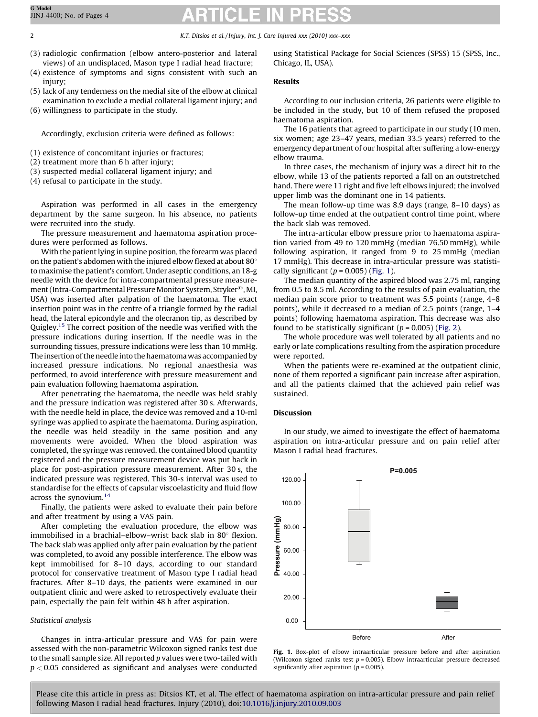2 K.T. Ditsios et al. / Injury, Int. J. Care Injured xxx (2010) xxx–xxx

- (3) radiologic confirmation (elbow antero-posterior and lateral views) of an undisplaced, Mason type I radial head fracture;
- (4) existence of symptoms and signs consistent with such an injury;
- (5) lack of any tenderness on the medial site of the elbow at clinical examination to exclude a medial collateral ligament injury; and
- (6) willingness to participate in the study.

Accordingly, exclusion criteria were defined as follows:

- (1) existence of concomitant injuries or fractures;
- (2) treatment more than 6 h after injury;
- (3) suspected medial collateral ligament injury; and
- (4) refusal to participate in the study.

Aspiration was performed in all cases in the emergency department by the same surgeon. In his absence, no patients were recruited into the study.

The pressure measurement and haematoma aspiration procedures were performed as follows.

With the patient lying in supine position, the forearm was placed on the patient's abdomen with the injured elbow flexed at about  $80^{\circ}$ to maximise the patient's comfort. Under aseptic conditions, an 18-g needle with the device for intra-compartmental pressure measurement (Intra-Compartmental Pressure Monitor System, Stryker®, MI, USA) was inserted after palpation of the haematoma. The exact insertion point was in the centre of a triangle formed by the radial head, the lateral epicondyle and the olecranon tip, as described by Quigley.<sup>[15](#page-3-0)</sup> The correct position of the needle was verified with the pressure indications during insertion. If the needle was in the surrounding tissues, pressure indications were less than 10 mmHg. The insertion of the needle into the haematomawas accompanied by increased pressure indications. No regional anaesthesia was performed, to avoid interference with pressure measurement and pain evaluation following haematoma aspiration.

After penetrating the haematoma, the needle was held stably and the pressure indication was registered after 30 s. Afterwards, with the needle held in place, the device was removed and a 10-ml syringe was applied to aspirate the haematoma. During aspiration, the needle was held steadily in the same position and any movements were avoided. When the blood aspiration was completed, the syringe was removed, the contained blood quantity registered and the pressure measurement device was put back in place for post-aspiration pressure measurement. After 30 s, the indicated pressure was registered. This 30-s interval was used to standardise for the effects of capsular viscoelasticity and fluid flow across the synovium.<sup>[14](#page-3-0)</sup>

Finally, the patients were asked to evaluate their pain before and after treatment by using a VAS pain.

After completing the evaluation procedure, the elbow was immobilised in a brachial–elbow–wrist back slab in 80 $^{\circ}$  flexion. The back slab was applied only after pain evaluation by the patient was completed, to avoid any possible interference. The elbow was kept immobilised for 8–10 days, according to our standard protocol for conservative treatment of Mason type I radial head fractures. After 8–10 days, the patients were examined in our outpatient clinic and were asked to retrospectively evaluate their pain, especially the pain felt within 48 h after aspiration.

# Statistical analysis

Changes in intra-articular pressure and VAS for pain were assessed with the non-parametric Wilcoxon signed ranks test due to the small sample size. All reported  $p$  values were two-tailed with  $p < 0.05$  considered as significant and analyses were conducted using Statistical Package for Social Sciences (SPSS) 15 (SPSS, Inc., Chicago, IL, USA).

# Results

According to our inclusion criteria, 26 patients were eligible to be included in the study, but 10 of them refused the proposed haematoma aspiration.

The 16 patients that agreed to participate in our study (10 men, six women; age 23–47 years, median 33.5 years) referred to the emergency department of our hospital after suffering a low-energy elbow trauma.

In three cases, the mechanism of injury was a direct hit to the elbow, while 13 of the patients reported a fall on an outstretched hand. There were 11 right and five left elbows injured; the involved upper limb was the dominant one in 14 patients.

The mean follow-up time was 8.9 days (range, 8–10 days) as follow-up time ended at the outpatient control time point, where the back slab was removed.

The intra-articular elbow pressure prior to haematoma aspiration varied from 49 to 120 mmHg (median 76.50 mmHg), while following aspiration, it ranged from 9 to 25 mmHg (median 17 mmHg). This decrease in intra-articular pressure was statistically significant ( $p = 0.005$ ) (Fig. 1).

The median quantity of the aspired blood was 2.75 ml, ranging from 0.5 to 8.5 ml. According to the results of pain evaluation, the median pain score prior to treatment was 5.5 points (range, 4–8 points), while it decreased to a median of 2.5 points (range, 1–4 points) following haematoma aspiration. This decrease was also found to be statistically significant ( $p = 0.005$ ) ([Fig. 2](#page-2-0)).

The whole procedure was well tolerated by all patients and no early or late complications resulting from the aspiration procedure were reported.

When the patients were re-examined at the outpatient clinic, none of them reported a significant pain increase after aspiration, and all the patients claimed that the achieved pain relief was sustained.

# Discussion

In our study, we aimed to investigate the effect of haematoma aspiration on intra-articular pressure and on pain relief after Mason I radial head fractures.



Fig. 1. Box-plot of elbow intraarticular pressure before and after aspiration (Wilcoxon signed ranks test  $p = 0.005$ ). Elbow intraarticular pressure decreased significantly after aspiration ( $p = 0.005$ ).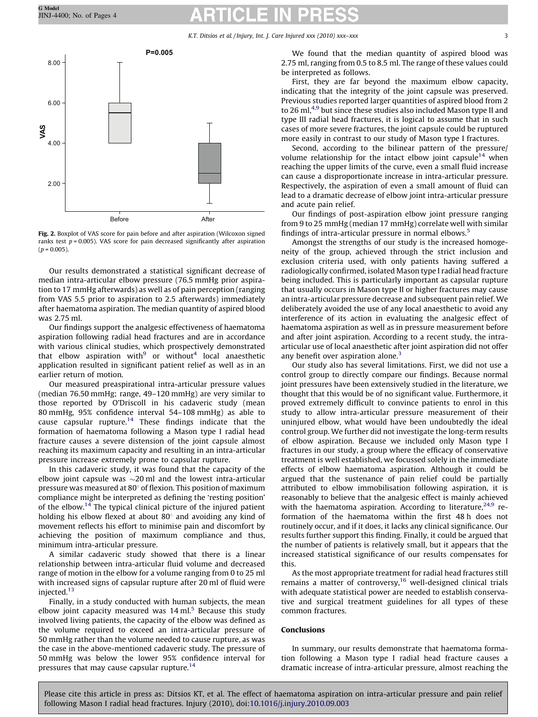K.T. Ditsios et al. / Injury, Int. J. Care Injured xxx (2010) xxx–xxx 33

<span id="page-2-0"></span>



Our results demonstrated a statistical significant decrease of median intra-articular elbow pressure (76.5 mmHg prior aspiration to 17 mmHg afterwards) as well as of pain perception (ranging from VAS 5.5 prior to aspiration to 2.5 afterwards) immediately after haematoma aspiration. The median quantity of aspired blood was 2.75 ml.

Our findings support the analgesic effectiveness of haematoma aspiration following radial head fractures and are in accordance with various clinical studies, which prospectively demonstrated that elbow aspiration with $9$  or without<sup>4</sup> local anaesthetic application resulted in significant patient relief as well as in an earlier return of motion.

Our measured preaspirational intra-articular pressure values (median 76.50 mmHg; range, 49–120 mmHg) are very similar to those reported by O'Driscoll in his cadaveric study (mean 80 mmHg, 95% confidence interval 54–108 mmHg) as able to cause capsular rupture.<sup>[14](#page-3-0)</sup> These findings indicate that the formation of haematoma following a Mason type I radial head fracture causes a severe distension of the joint capsule almost reaching its maximum capacity and resulting in an intra-articular pressure increase extremely prone to capsular rupture.

In this cadaveric study, it was found that the capacity of the elbow joint capsule was  ${\sim}20\,\text{ml}$  and the lowest intra-articular pressure was measured at  $80^{\circ}$  of flexion. This position of maximum compliance might be interpreted as defining the 'resting position' of the elbow.[14](#page-3-0) The typical clinical picture of the injured patient holding his elbow flexed at about  $80^\circ$  and avoiding any kind of movement reflects his effort to minimise pain and discomfort by achieving the position of maximum compliance and thus, minimum intra-articular pressure.

A similar cadaveric study showed that there is a linear relationship between intra-articular fluid volume and decreased range of motion in the elbow for a volume ranging from 0 to 25 ml with increased signs of capsular rupture after 20 ml of fluid were injected[.13](#page-3-0)

Finally, in a study conducted with human subjects, the mean elbow joint capacity measured was  $14$  ml.<sup>[5](#page-3-0)</sup> Because this study involved living patients, the capacity of the elbow was defined as the volume required to exceed an intra-articular pressure of 50 mmHg rather than the volume needed to cause rupture, as was the case in the above-mentioned cadaveric study. The pressure of 50 mmHg was below the lower 95% confidence interval for pressures that may cause capsular rupture.<sup>14</sup>

We found that the median quantity of aspired blood was 2.75 ml, ranging from 0.5 to 8.5 ml. The range of these values could be interpreted as follows.

First, they are far beyond the maximum elbow capacity, indicating that the integrity of the joint capsule was preserved. Previous studies reported larger quantities of aspired blood from 2 to 26 ml, $4.9$  but since these studies also included Mason type II and type III radial head fractures, it is logical to assume that in such cases of more severe fractures, the joint capsule could be ruptured more easily in contrast to our study of Mason type I fractures.

Second, according to the bilinear pattern of the pressure/ volume relationship for the intact elbow joint capsule<sup>[14](#page-3-0)</sup> when reaching the upper limits of the curve, even a small fluid increase can cause a disproportionate increase in intra-articular pressure. Respectively, the aspiration of even a small amount of fluid can lead to a dramatic decrease of elbow joint intra-articular pressure and acute pain relief.

Our findings of post-aspiration elbow joint pressure ranging from 9 to 25 mmHg (median 17 mmHg) correlate well with similar findings of intra-articular pressure in normal elbows.[5](#page-3-0)

Amongst the strengths of our study is the increased homogeneity of the group, achieved through the strict inclusion and exclusion criteria used, with only patients having suffered a radiologically confirmed, isolated Mason type I radial head fracture being included. This is particularly important as capsular rupture that usually occurs in Mason type II or higher fractures may cause an intra-articular pressure decrease and subsequent pain relief. We deliberately avoided the use of any local anaesthetic to avoid any interference of its action in evaluating the analgesic effect of haematoma aspiration as well as in pressure measurement before and after joint aspiration. According to a recent study, the intraarticular use of local anaesthetic after joint aspiration did not offer any benefit over aspiration alone. $3$ 

Our study also has several limitations. First, we did not use a control group to directly compare our findings. Because normal joint pressures have been extensively studied in the literature, we thought that this would be of no significant value. Furthermore, it proved extremely difficult to convince patients to enrol in this study to allow intra-articular pressure measurement of their uninjured elbow, what would have been undoubtedly the ideal control group. We further did not investigate the long-term results of elbow aspiration. Because we included only Mason type I fractures in our study, a group where the efficacy of conservative treatment is well established, we focussed solely in the immediate effects of elbow haematoma aspiration. Although it could be argued that the sustenance of pain relief could be partially attributed to elbow immobilisation following aspiration, it is reasonably to believe that the analgesic effect is mainly achieved with the haematoma aspiration. According to literature,  $24.9$  reformation of the haematoma within the first 48 h does not routinely occur, and if it does, it lacks any clinical significance. Our results further support this finding. Finally, it could be argued that the number of patients is relatively small, but it appears that the increased statistical significance of our results compensates for this.

As the most appropriate treatment for radial head fractures still remains a matter of controversy, $16$  well-designed clinical trials with adequate statistical power are needed to establish conservative and surgical treatment guidelines for all types of these common fractures.

## Conclusions

In summary, our results demonstrate that haematoma formation following a Mason type I radial head fracture causes a dramatic increase of intra-articular pressure, almost reaching the